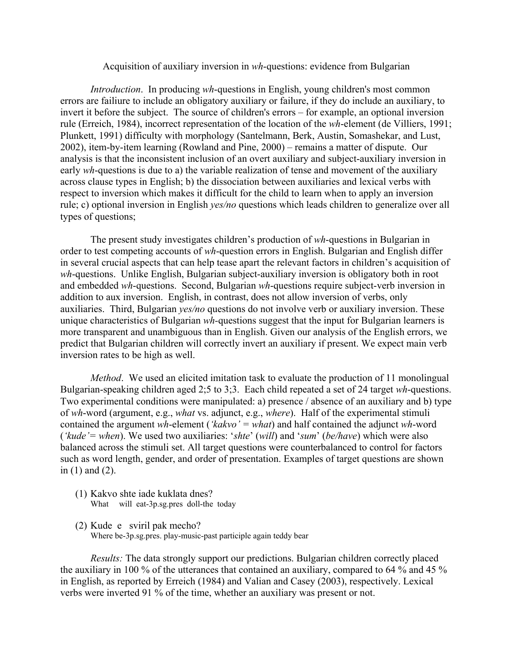## Acquisition of auxiliary inversion in *wh*-questions: evidence from Bulgarian

*Introduction*. In producing *wh*-questions in English, young children's most common errors are failiure to include an obligatory auxiliary or failure, if they do include an auxiliary, to invert it before the subject. The source of children's errors – for example, an optional inversion rule (Erreich, 1984), incorrect representation of the location of the *wh*-element (de Villiers, 1991; Plunkett, 1991) difficulty with morphology (Santelmann, Berk, Austin, Somashekar, and Lust, 2002), item-by-item learning (Rowland and Pine, 2000) – remains a matter of dispute. Our analysis is that the inconsistent inclusion of an overt auxiliary and subject-auxiliary inversion in early *wh*-questions is due to a) the variable realization of tense and movement of the auxiliary across clause types in English; b) the dissociation between auxiliaries and lexical verbs with respect to inversion which makes it difficult for the child to learn when to apply an inversion rule; c) optional inversion in English *yes/no* questions which leads children to generalize over all types of questions;

The present study investigates children's production of *wh*-questions in Bulgarian in order to test competing accounts of *wh*-question errors in English. Bulgarian and English differ in several crucial aspects that can help tease apart the relevant factors in children's acquisition of *wh*-questions. Unlike English, Bulgarian subject-auxiliary inversion is obligatory both in root and embedded *wh*-questions. Second, Bulgarian *wh*-questions require subject-verb inversion in addition to aux inversion. English, in contrast, does not allow inversion of verbs, only auxiliaries. Third, Bulgarian *yes/no* questions do not involve verb or auxiliary inversion. These unique characteristics of Bulgarian *wh-*questions suggest that the input for Bulgarian learners is more transparent and unambiguous than in English. Given our analysis of the English errors, we predict that Bulgarian children will correctly invert an auxiliary if present. We expect main verb inversion rates to be high as well.

*Method*. We used an elicited imitation task to evaluate the production of 11 monolingual Bulgarian-speaking children aged 2;5 to 3;3. Each child repeated a set of 24 target *wh*-questions. Two experimental conditions were manipulated: a) presence / absence of an auxiliary and b) type of *wh*-word (argument, e.g., *what* vs. adjunct, e.g., *where*). Half of the experimental stimuli contained the argument *wh*-element (*'kakvo' = what*) and half contained the adjunct *wh*-word (*'kude'= when*). We used two auxiliaries: '*shte*' (*will*) and '*sum*' (*be/have*) which were also balanced across the stimuli set. All target questions were counterbalanced to control for factors such as word length, gender, and order of presentation. Examples of target questions are shown in (1) and (2).

- (1) Kakvo shte iade kuklata dnes? What will eat-3p.sg.pres doll-the today
- (2) Kude e sviril pak mecho? Where be-3p.sg.pres. play-music-past participle again teddy bear

*Results:* The data strongly support our predictions. Bulgarian children correctly placed the auxiliary in 100 % of the utterances that contained an auxiliary, compared to 64 % and 45 % in English, as reported by Erreich (1984) and Valian and Casey (2003), respectively. Lexical verbs were inverted 91 % of the time, whether an auxiliary was present or not.